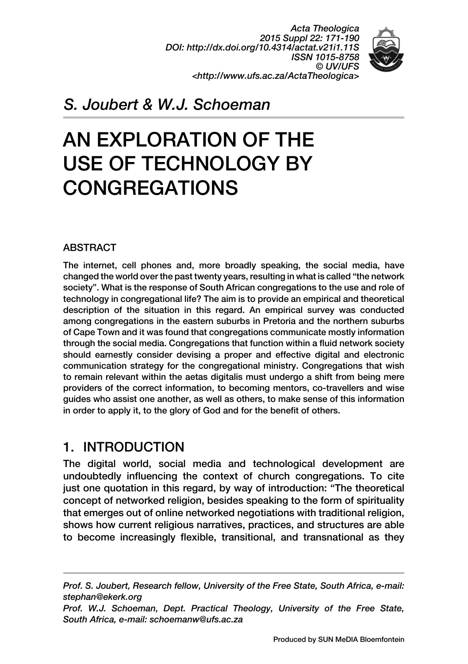

## *S. Joubert & W.J. Schoeman*

# AN EXPLORATION OF THE USE OF TECHNOLOGY BY CONGREGATIONS

### ABSTRACT

The internet, cell phones and, more broadly speaking, the social media, have changed the world over the past twenty years, resulting in what is called "the network society". What is the response of South African congregations to the use and role of technology in congregational life? The aim is to provide an empirical and theoretical description of the situation in this regard. An empirical survey was conducted among congregations in the eastern suburbs in Pretoria and the northern suburbs of Cape Town and it was found that congregations communicate mostly information through the social media. Congregations that function within a fluid network society should earnestly consider devising a proper and effective digital and electronic communication strategy for the congregational ministry. Congregations that wish to remain relevant within the aetas digitalis must undergo a shift from being mere providers of the correct information, to becoming mentors, co-travellers and wise guides who assist one another, as well as others, to make sense of this information in order to apply it, to the glory of God and for the benefit of others.

### 1. INTRODUCTION

The digital world, social media and technological development are undoubtedly influencing the context of church congregations. To cite just one quotation in this regard, by way of introduction: "The theoretical concept of networked religion, besides speaking to the form of spirituality that emerges out of online networked negotiations with traditional religion, shows how current religious narratives, practices, and structures are able to become increasingly flexible, transitional, and transnational as they

*Prof. S. Joubert, Research fellow, University of the Free State, South Africa, e-mail: stephan@ekerk.org*

*Prof. W.J. Schoeman, Dept. Practical Theology, University of the Free State, South Africa, e-mail: schoemanw@ufs.ac.za*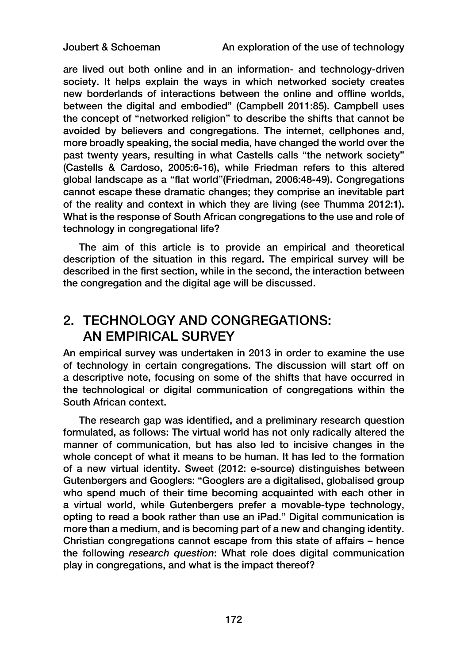are lived out both online and in an information- and technology-driven society. It helps explain the ways in which networked society creates new borderlands of interactions between the online and offline worlds, between the digital and embodied" (Campbell 2011:85). Campbell uses the concept of "networked religion" to describe the shifts that cannot be avoided by believers and congregations. The internet, cellphones and, more broadly speaking, the social media, have changed the world over the past twenty years, resulting in what Castells calls "the network society" (Castells & Cardoso, 2005:6-16), while Friedman refers to this altered global landscape as a "flat world"(Friedman, 2006:48-49). Congregations cannot escape these dramatic changes; they comprise an inevitable part of the reality and context in which they are living (see Thumma 2012:1). What is the response of South African congregations to the use and role of technology in congregational life?

The aim of this article is to provide an empirical and theoretical description of the situation in this regard. The empirical survey will be described in the first section, while in the second, the interaction between the congregation and the digital age will be discussed.

### 2. TECHNOLOGY AND CONGREGATIONS: AN EMPIRICAL SURVEY

An empirical survey was undertaken in 2013 in order to examine the use of technology in certain congregations. The discussion will start off on a descriptive note, focusing on some of the shifts that have occurred in the technological or digital communication of congregations within the South African context.

The research gap was identified, and a preliminary research question formulated, as follows: The virtual world has not only radically altered the manner of communication, but has also led to incisive changes in the whole concept of what it means to be human. It has led to the formation of a new virtual identity. Sweet (2012: e-source) distinguishes between Gutenbergers and Googlers: "Googlers are a digitalised, globalised group who spend much of their time becoming acquainted with each other in a virtual world, while Gutenbergers prefer a movable-type technology, opting to read a book rather than use an iPad." Digital communication is more than a medium, and is becoming part of a new and changing identity. Christian congregations cannot escape from this state of affairs – hence the following *research question*: What role does digital communication play in congregations, and what is the impact thereof?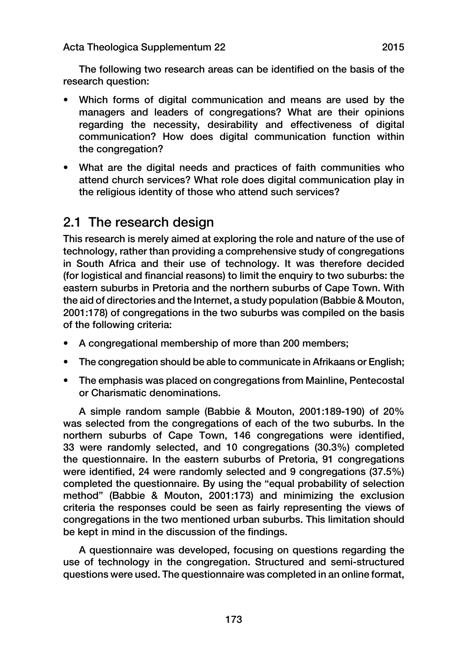The following two research areas can be identified on the basis of the research question:

- Which forms of digital communication and means are used by the managers and leaders of congregations? What are their opinions regarding the necessity, desirability and effectiveness of digital communication? How does digital communication function within the congregation?
- What are the digital needs and practices of faith communities who attend church services? What role does digital communication play in the religious identity of those who attend such services?

### 2.1 The research design

This research is merely aimed at exploring the role and nature of the use of technology, rather than providing a comprehensive study of congregations in South Africa and their use of technology. It was therefore decided (for logistical and financial reasons) to limit the enquiry to two suburbs: the eastern suburbs in Pretoria and the northern suburbs of Cape Town. With the aid of directories and the Internet, a study population (Babbie & Mouton, 2001:178) of congregations in the two suburbs was compiled on the basis of the following criteria:

- A congregational membership of more than 200 members;
- The congregation should be able to communicate in Afrikaans or English;
- The emphasis was placed on congregations from Mainline, Pentecostal or Charismatic denominations.

A simple random sample (Babbie & Mouton, 2001:189-190) of 20% was selected from the congregations of each of the two suburbs. In the northern suburbs of Cape Town, 146 congregations were identified, 33 were randomly selected, and 10 congregations (30.3%) completed the questionnaire. In the eastern suburbs of Pretoria, 91 congregations were identified, 24 were randomly selected and 9 congregations (37.5%) completed the questionnaire. By using the "equal probability of selection method" (Babbie & Mouton, 2001:173) and minimizing the exclusion criteria the responses could be seen as fairly representing the views of congregations in the two mentioned urban suburbs. This limitation should be kept in mind in the discussion of the findings.

A questionnaire was developed, focusing on questions regarding the use of technology in the congregation. Structured and semi-structured questions were used. The questionnaire was completed in an online format,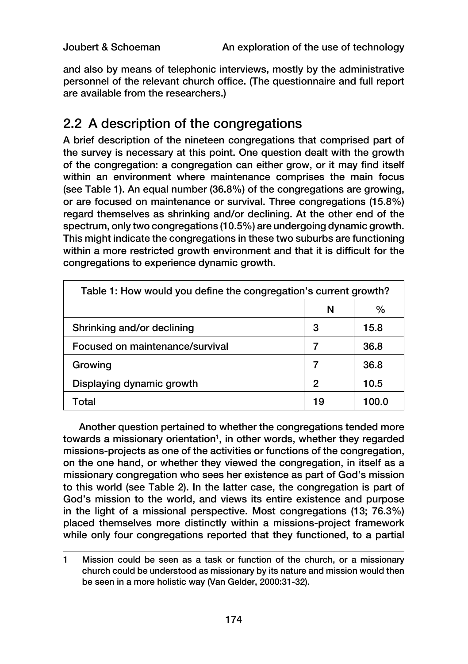and also by means of telephonic interviews, mostly by the administrative personnel of the relevant church office. (The questionnaire and full report are available from the researchers.)

### 2.2 A description of the congregations

A brief description of the nineteen congregations that comprised part of the survey is necessary at this point. One question dealt with the growth of the congregation: a congregation can either grow, or it may find itself within an environment where maintenance comprises the main focus (see Table 1). An equal number (36.8%) of the congregations are growing, or are focused on maintenance or survival. Three congregations (15.8%) regard themselves as shrinking and/or declining. At the other end of the spectrum, only two congregations (10.5%) are undergoing dynamic growth. This might indicate the congregations in these two suburbs are functioning within a more restricted growth environment and that it is difficult for the congregations to experience dynamic growth.

| Table 1: How would you define the congregation's current growth? |    |       |  |
|------------------------------------------------------------------|----|-------|--|
|                                                                  | N  | %     |  |
| Shrinking and/or declining                                       | 3  | 15.8  |  |
| Focused on maintenance/survival                                  |    | 36.8  |  |
| Growing                                                          |    | 36.8  |  |
| Displaying dynamic growth                                        | 2  | 10.5  |  |
| Total                                                            | 19 | 100.0 |  |

Another question pertained to whether the congregations tended more towards a missionary orientation<sup>1</sup>, in other words, whether they regarded missions-projects as one of the activities or functions of the congregation, on the one hand, or whether they viewed the congregation, in itself as a missionary congregation who sees her existence as part of God's mission to this world (see Table 2). In the latter case, the congregation is part of God's mission to the world, and views its entire existence and purpose in the light of a missional perspective. Most congregations (13; 76.3%) placed themselves more distinctly within a missions-project framework while only four congregations reported that they functioned, to a partial

<sup>1</sup> Mission could be seen as a task or function of the church, or a missionary church could be understood as missionary by its nature and mission would then be seen in a more holistic way (Van Gelder, 2000:31-32).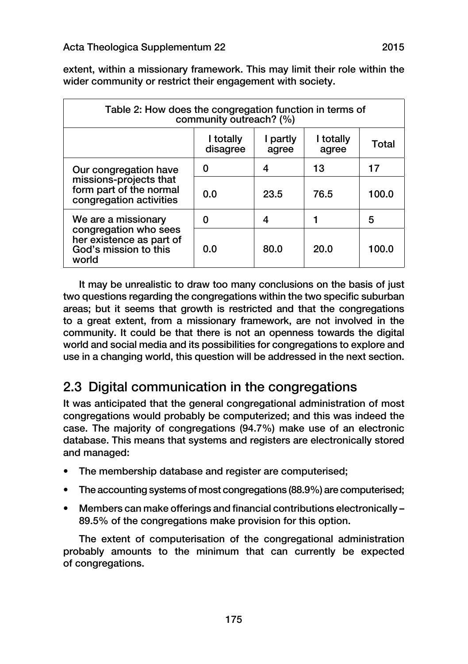| Table 2: How does the congregation function in terms of<br>community outreach? (%)                         |                       |                   |                    |       |
|------------------------------------------------------------------------------------------------------------|-----------------------|-------------------|--------------------|-------|
|                                                                                                            | I totally<br>disagree | I partly<br>agree | I totally<br>agree | Total |
| Our congregation have<br>missions-projects that<br>form part of the normal<br>congregation activities      | 0                     | 4                 | 13                 | 17    |
|                                                                                                            | 0.0                   | 23.5              | 76.5               | 100.0 |
| We are a missionary<br>congregation who sees<br>her existence as part of<br>God's mission to this<br>world | Ω                     | 4                 |                    | 5     |
|                                                                                                            | 0.0                   | 80.0              | 20.0               | 100.0 |

extent, within a missionary framework. This may limit their role within the wider community or restrict their engagement with society.

It may be unrealistic to draw too many conclusions on the basis of just two questions regarding the congregations within the two specific suburban areas; but it seems that growth is restricted and that the congregations to a great extent, from a missionary framework, are not involved in the community. It could be that there is not an openness towards the digital world and social media and its possibilities for congregations to explore and use in a changing world, this question will be addressed in the next section.

### 2.3 Digital communication in the congregations

It was anticipated that the general congregational administration of most congregations would probably be computerized; and this was indeed the case. The majority of congregations (94.7%) make use of an electronic database. This means that systems and registers are electronically stored and managed:

- The membership database and register are computerised;
- The accounting systems of most congregations (88.9%) are computerised;
- Members can make offerings and financial contributions electronically 89.5% of the congregations make provision for this option.

The extent of computerisation of the congregational administration probably amounts to the minimum that can currently be expected of congregations.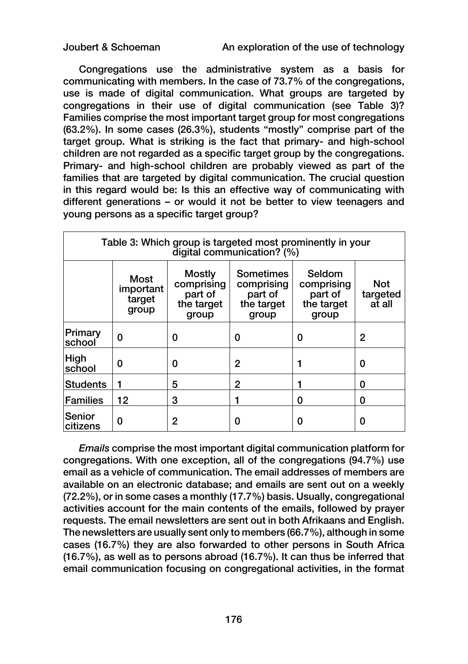Congregations use the administrative system as a basis for communicating with members. In the case of 73.7% of the congregations, use is made of digital communication. What groups are targeted by congregations in their use of digital communication (see Table 3)? Families comprise the most important target group for most congregations (63.2%). In some cases (26.3%), students "mostly" comprise part of the target group. What is striking is the fact that primary- and high-school children are not regarded as a specific target group by the congregations. Primary- and high-school children are probably viewed as part of the families that are targeted by digital communication. The crucial question in this regard would be: Is this an effective way of communicating with different generations – or would it not be better to view teenagers and young persons as a specific target group?

| Table 3: Which group is targeted most prominently in your<br>digital communication? (%) |                                      |                                                        |                                                                  |                                                        |                           |
|-----------------------------------------------------------------------------------------|--------------------------------------|--------------------------------------------------------|------------------------------------------------------------------|--------------------------------------------------------|---------------------------|
|                                                                                         | Most<br>important<br>target<br>group | Mostly<br>comprising<br>part of<br>the target<br>group | <b>Sometimes</b><br>comprising<br>part of<br>the target<br>group | Seldom<br>comprising<br>part of<br>the target<br>group | Not<br>targeted<br>at all |
| Primary<br>school                                                                       | 0                                    | 0                                                      | 0                                                                | ŋ                                                      | 2                         |
| High<br>school                                                                          | 0                                    | 0                                                      | 2                                                                |                                                        | O                         |
| <b>Students</b>                                                                         | 1                                    | 5                                                      | 2                                                                |                                                        | O                         |
| <b>Families</b>                                                                         | 12                                   | 3                                                      |                                                                  |                                                        | O                         |
| Senior<br>citizens                                                                      | 0                                    | 2                                                      | 0                                                                | ŋ                                                      | O                         |

*Emails* comprise the most important digital communication platform for congregations. With one exception, all of the congregations (94.7%) use email as a vehicle of communication. The email addresses of members are available on an electronic database; and emails are sent out on a weekly (72.2%), or in some cases a monthly (17.7%) basis. Usually, congregational activities account for the main contents of the emails, followed by prayer requests. The email newsletters are sent out in both Afrikaans and English. The newsletters are usually sent only to members (66.7%), although in some cases (16.7%) they are also forwarded to other persons in South Africa (16.7%), as well as to persons abroad (16.7%). It can thus be inferred that email communication focusing on congregational activities, in the format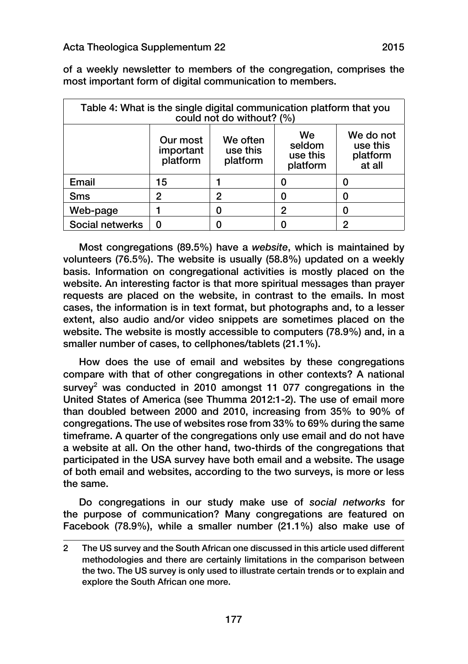| Table 4: What is the single digital communication platform that you<br>could not do without? (%) |                                   |                                  |                                      |                                             |
|--------------------------------------------------------------------------------------------------|-----------------------------------|----------------------------------|--------------------------------------|---------------------------------------------|
|                                                                                                  | Our most<br>important<br>platform | We often<br>use this<br>platform | We<br>seldom<br>use this<br>platform | We do not<br>use this<br>platform<br>at all |
| Email                                                                                            | 15                                |                                  | 0                                    |                                             |
| Sms                                                                                              | 2                                 | 2                                | 0                                    |                                             |
| Web-page                                                                                         |                                   |                                  | 2                                    |                                             |
| Social netwerks                                                                                  |                                   |                                  | 0                                    |                                             |

of a weekly newsletter to members of the congregation, comprises the most important form of digital communication to members.

Most congregations (89.5%) have a *website*, which is maintained by volunteers (76.5%). The website is usually (58.8%) updated on a weekly basis. Information on congregational activities is mostly placed on the website. An interesting factor is that more spiritual messages than prayer requests are placed on the website, in contrast to the emails. In most cases, the information is in text format, but photographs and, to a lesser extent, also audio and/or video snippets are sometimes placed on the website. The website is mostly accessible to computers (78.9%) and, in a smaller number of cases, to cellphones/tablets (21.1%).

How does the use of email and websites by these congregations compare with that of other congregations in other contexts? A national survey<sup>2</sup> was conducted in 2010 amongst 11 077 congregations in the United States of America (see Thumma 2012:1-2). The use of email more than doubled between 2000 and 2010, increasing from 35% to 90% of congregations. The use of websites rose from 33% to 69% during the same timeframe. A quarter of the congregations only use email and do not have a website at all. On the other hand, two-thirds of the congregations that participated in the USA survey have both email and a website. The usage of both email and websites, according to the two surveys, is more or less the same.

Do congregations in our study make use of *social networks* for the purpose of communication? Many congregations are featured on Facebook (78.9%), while a smaller number (21.1%) also make use of

<sup>2</sup> The US survey and the South African one discussed in this article used different methodologies and there are certainly limitations in the comparison between the two. The US survey is only used to illustrate certain trends or to explain and explore the South African one more.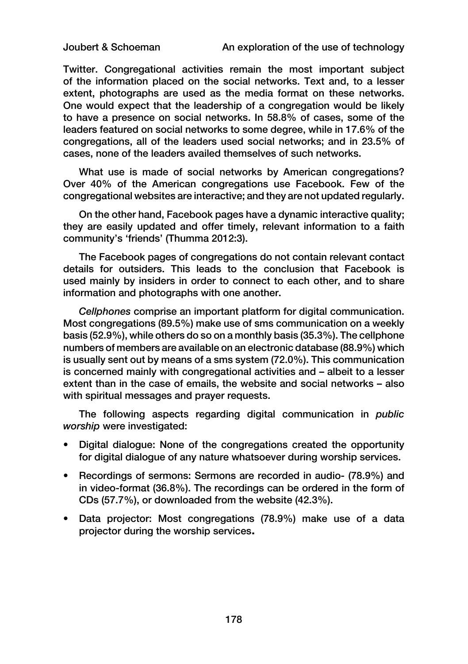Twitter. Congregational activities remain the most important subject of the information placed on the social networks. Text and, to a lesser extent, photographs are used as the media format on these networks. One would expect that the leadership of a congregation would be likely to have a presence on social networks. In 58.8% of cases, some of the leaders featured on social networks to some degree, while in 17.6% of the congregations, all of the leaders used social networks; and in 23.5% of cases, none of the leaders availed themselves of such networks.

What use is made of social networks by American congregations? Over 40% of the American congregations use Facebook. Few of the congregational websites are interactive; and they are not updated regularly.

On the other hand, Facebook pages have a dynamic interactive quality; they are easily updated and offer timely, relevant information to a faith community's 'friends' (Thumma 2012:3).

The Facebook pages of congregations do not contain relevant contact details for outsiders. This leads to the conclusion that Facebook is used mainly by insiders in order to connect to each other, and to share information and photographs with one another.

*Cellphones* comprise an important platform for digital communication. Most congregations (89.5%) make use of sms communication on a weekly basis (52.9%), while others do so on a monthly basis (35.3%). The cellphone numbers of members are available on an electronic database (88.9%) which is usually sent out by means of a sms system (72.0%). This communication is concerned mainly with congregational activities and – albeit to a lesser extent than in the case of emails, the website and social networks – also with spiritual messages and prayer requests.

The following aspects regarding digital communication in *public worship* were investigated:

- Digital dialogue: None of the congregations created the opportunity for digital dialogue of any nature whatsoever during worship services.
- Recordings of sermons: Sermons are recorded in audio- (78.9%) and in video-format (36.8%). The recordings can be ordered in the form of CDs (57.7%), or downloaded from the website (42.3%).
- Data projector: Most congregations (78.9%) make use of a data projector during the worship services.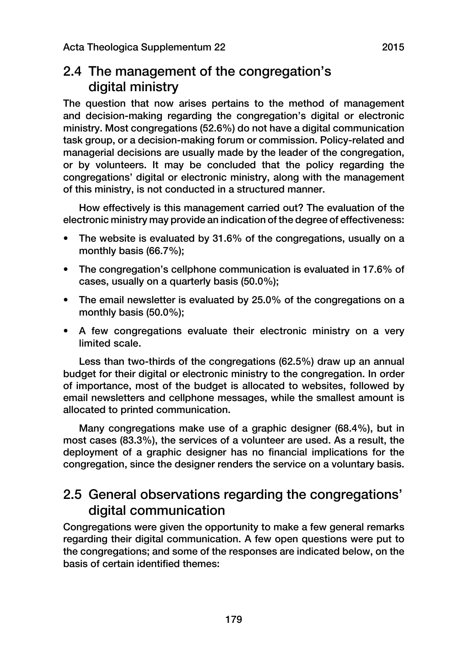### 2.4 The management of the congregation's digital ministry

The question that now arises pertains to the method of management and decision-making regarding the congregation's digital or electronic ministry. Most congregations (52.6%) do not have a digital communication task group, or a decision-making forum or commission. Policy-related and managerial decisions are usually made by the leader of the congregation, or by volunteers. It may be concluded that the policy regarding the congregations' digital or electronic ministry, along with the management of this ministry, is not conducted in a structured manner.

How effectively is this management carried out? The evaluation of the electronic ministry may provide an indication of the degree of effectiveness:

- The website is evaluated by 31.6% of the congregations, usually on a monthly basis (66.7%);
- The congregation's cellphone communication is evaluated in 17.6% of cases, usually on a quarterly basis (50.0%);
- The email newsletter is evaluated by 25.0% of the congregations on a monthly basis (50.0%);
- A few congregations evaluate their electronic ministry on a very limited scale.

Less than two-thirds of the congregations (62.5%) draw up an annual budget for their digital or electronic ministry to the congregation. In order of importance, most of the budget is allocated to websites, followed by email newsletters and cellphone messages, while the smallest amount is allocated to printed communication.

Many congregations make use of a graphic designer (68.4%), but in most cases (83.3%), the services of a volunteer are used. As a result, the deployment of a graphic designer has no financial implications for the congregation, since the designer renders the service on a voluntary basis.

### 2.5 General observations regarding the congregations' digital communication

Congregations were given the opportunity to make a few general remarks regarding their digital communication. A few open questions were put to the congregations; and some of the responses are indicated below, on the basis of certain identified themes: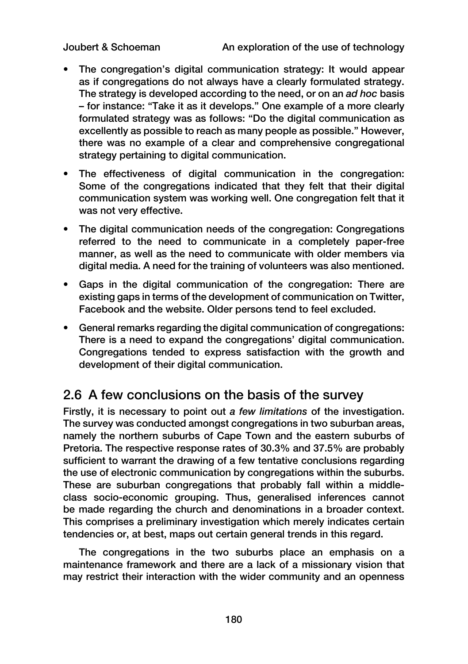- The congregation's digital communication strategy: It would appear as if congregations do not always have a clearly formulated strategy. The strategy is developed according to the need, or on an *ad hoc* basis – for instance: "Take it as it develops." One example of a more clearly formulated strategy was as follows: "Do the digital communication as excellently as possible to reach as many people as possible." However, there was no example of a clear and comprehensive congregational strategy pertaining to digital communication.
- The effectiveness of digital communication in the congregation: Some of the congregations indicated that they felt that their digital communication system was working well. One congregation felt that it was not very effective.
- The digital communication needs of the congregation: Congregations referred to the need to communicate in a completely paper-free manner, as well as the need to communicate with older members via digital media. A need for the training of volunteers was also mentioned.
- Gaps in the digital communication of the congregation: There are existing gaps in terms of the development of communication on Twitter, Facebook and the website. Older persons tend to feel excluded.
- General remarks regarding the digital communication of congregations: There is a need to expand the congregations' digital communication. Congregations tended to express satisfaction with the growth and development of their digital communication.

### 2.6 A few conclusions on the basis of the survey

Firstly, it is necessary to point out *a few limitations* of the investigation. The survey was conducted amongst congregations in two suburban areas, namely the northern suburbs of Cape Town and the eastern suburbs of Pretoria. The respective response rates of 30.3% and 37.5% are probably sufficient to warrant the drawing of a few tentative conclusions regarding the use of electronic communication by congregations within the suburbs. These are suburban congregations that probably fall within a middleclass socio-economic grouping. Thus, generalised inferences cannot be made regarding the church and denominations in a broader context. This comprises a preliminary investigation which merely indicates certain tendencies or, at best, maps out certain general trends in this regard.

The congregations in the two suburbs place an emphasis on a maintenance framework and there are a lack of a missionary vision that may restrict their interaction with the wider community and an openness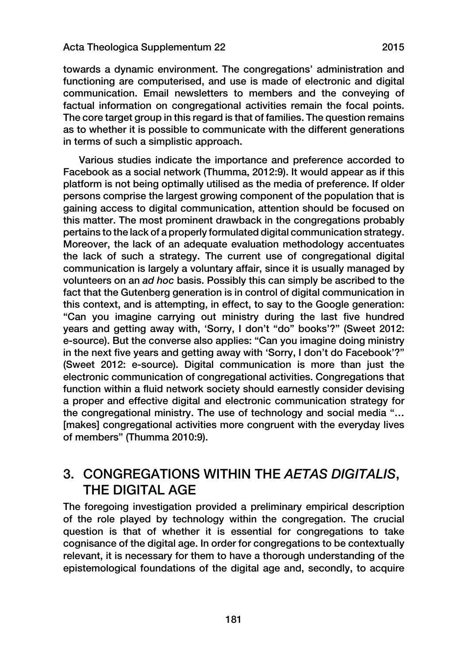towards a dynamic environment. The congregations' administration and functioning are computerised, and use is made of electronic and digital communication. Email newsletters to members and the conveying of factual information on congregational activities remain the focal points. The core target group in this regard is that of families. The question remains as to whether it is possible to communicate with the different generations in terms of such a simplistic approach.

Various studies indicate the importance and preference accorded to Facebook as a social network (Thumma, 2012:9). It would appear as if this platform is not being optimally utilised as the media of preference. If older persons comprise the largest growing component of the population that is gaining access to digital communication, attention should be focused on this matter. The most prominent drawback in the congregations probably pertains to the lack of a properly formulated digital communication strategy. Moreover, the lack of an adequate evaluation methodology accentuates the lack of such a strategy. The current use of congregational digital communication is largely a voluntary affair, since it is usually managed by volunteers on an *ad hoc* basis. Possibly this can simply be ascribed to the fact that the Gutenberg generation is in control of digital communication in this context, and is attempting, in effect, to say to the Google generation: "Can you imagine carrying out ministry during the last five hundred years and getting away with, 'Sorry, I don't "do" books'?" (Sweet 2012: e-source). But the converse also applies: "Can you imagine doing ministry in the next five years and getting away with 'Sorry, I don't do Facebook'?" (Sweet 2012: e-source). Digital communication is more than just the electronic communication of congregational activities. Congregations that function within a fluid network society should earnestly consider devising a proper and effective digital and electronic communication strategy for the congregational ministry. The use of technology and social media "… [makes] congregational activities more congruent with the everyday lives of members" (Thumma 2010:9).

### 3. CONGREGATIONS WITHIN THE *AETAS DIGITALIS*, THE DIGITAL AGE

The foregoing investigation provided a preliminary empirical description of the role played by technology within the congregation. The crucial question is that of whether it is essential for congregations to take cognisance of the digital age. In order for congregations to be contextually relevant, it is necessary for them to have a thorough understanding of the epistemological foundations of the digital age and, secondly, to acquire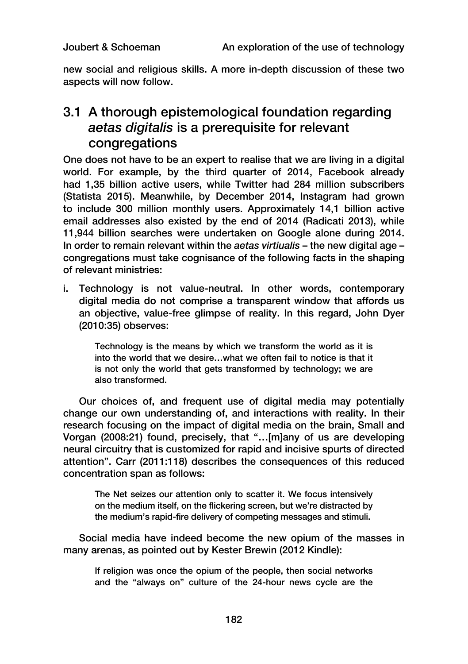new social and religious skills. A more in-depth discussion of these two aspects will now follow.

### 3.1 A thorough epistemological foundation regarding *aetas digitalis* is a prerequisite for relevant congregations

One does not have to be an expert to realise that we are living in a digital world. For example, by the third quarter of 2014, Facebook already had 1,35 billion active users, while Twitter had 284 million subscribers (Statista 2015). Meanwhile, by December 2014, Instagram had grown to include 300 million monthly users. Approximately 14,1 billion active email addresses also existed by the end of 2014 (Radicati 2013), while 11,944 billion searches were undertaken on Google alone during 2014. In order to remain relevant within the *aetas virtiualis* – the new digital age – congregations must take cognisance of the following facts in the shaping of relevant ministries:

i. Technology is not value-neutral. In other words, contemporary digital media do not comprise a transparent window that affords us an objective, value-free glimpse of reality. In this regard, John Dyer (2010:35) observes:

Technology is the means by which we transform the world as it is into the world that we desire…what we often fail to notice is that it is not only the world that gets transformed by technology; we are also transformed.

Our choices of, and frequent use of digital media may potentially change our own understanding of, and interactions with reality. In their research focusing on the impact of digital media on the brain, Small and Vorgan (2008:21) found, precisely, that "…[m]any of us are developing neural circuitry that is customized for rapid and incisive spurts of directed attention". Carr (2011:118) describes the consequences of this reduced concentration span as follows:

The Net seizes our attention only to scatter it. We focus intensively on the medium itself, on the flickering screen, but we're distracted by the medium's rapid-fire delivery of competing messages and stimuli.

Social media have indeed become the new opium of the masses in many arenas, as pointed out by Kester Brewin (2012 Kindle):

If religion was once the opium of the people, then social networks and the "always on" culture of the 24-hour news cycle are the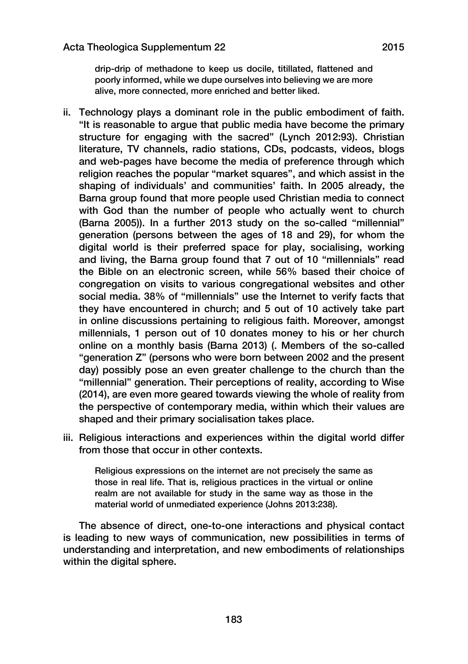drip-drip of methadone to keep us docile, titillated, flattened and poorly informed, while we dupe ourselves into believing we are more alive, more connected, more enriched and better liked.

- ii. Technology plays a dominant role in the public embodiment of faith. "It is reasonable to argue that public media have become the primary structure for engaging with the sacred" (Lynch 2012:93). Christian literature, TV channels, radio stations, CDs, podcasts, videos, blogs and web-pages have become the media of preference through which religion reaches the popular "market squares", and which assist in the shaping of individuals' and communities' faith. In 2005 already, the Barna group found that more people used Christian media to connect with God than the number of people who actually went to church (Barna 2005)). In a further 2013 study on the so-called "millennial" generation (persons between the ages of 18 and 29), for whom the digital world is their preferred space for play, socialising, working and living, the Barna group found that 7 out of 10 "millennials" read the Bible on an electronic screen, while 56% based their choice of congregation on visits to various congregational websites and other social media. 38% of "millennials" use the Internet to verify facts that they have encountered in church; and 5 out of 10 actively take part in online discussions pertaining to religious faith. Moreover, amongst millennials, 1 person out of 10 donates money to his or her church online on a monthly basis (Barna 2013) (. Members of the so-called "generation Z" (persons who were born between 2002 and the present day) possibly pose an even greater challenge to the church than the "millennial" generation. Their perceptions of reality, according to Wise (2014), are even more geared towards viewing the whole of reality from the perspective of contemporary media, within which their values are shaped and their primary socialisation takes place.
- iii. Religious interactions and experiences within the digital world differ from those that occur in other contexts.

Religious expressions on the internet are not precisely the same as those in real life. That is, religious practices in the virtual or online realm are not available for study in the same way as those in the material world of unmediated experience (Johns 2013:238).

The absence of direct, one-to-one interactions and physical contact is leading to new ways of communication, new possibilities in terms of understanding and interpretation, and new embodiments of relationships within the digital sphere.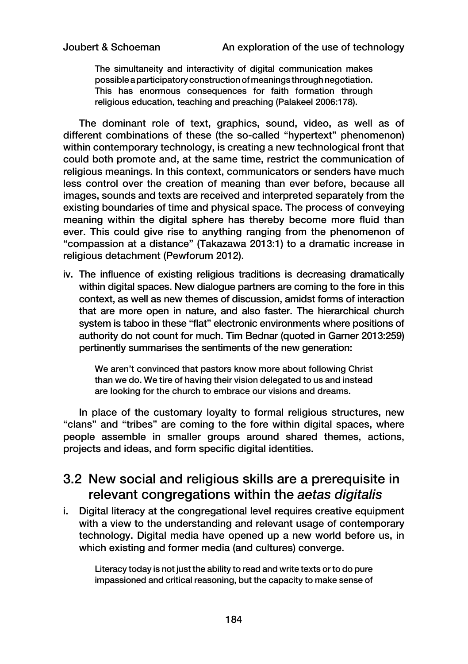The simultaneity and interactivity of digital communication makes possible a participatory construction of meanings through negotiation. This has enormous consequences for faith formation through religious education, teaching and preaching (Palakeel 2006:178).

The dominant role of text, graphics, sound, video, as well as of different combinations of these (the so-called "hypertext" phenomenon) within contemporary technology, is creating a new technological front that could both promote and, at the same time, restrict the communication of religious meanings. In this context, communicators or senders have much less control over the creation of meaning than ever before, because all images, sounds and texts are received and interpreted separately from the existing boundaries of time and physical space. The process of conveying meaning within the digital sphere has thereby become more fluid than ever. This could give rise to anything ranging from the phenomenon of "compassion at a distance" (Takazawa 2013:1) to a dramatic increase in religious detachment (Pewforum 2012).

iv. The influence of existing religious traditions is decreasing dramatically within digital spaces. New dialogue partners are coming to the fore in this context, as well as new themes of discussion, amidst forms of interaction that are more open in nature, and also faster. The hierarchical church system is taboo in these "flat" electronic environments where positions of authority do not count for much. Tim Bednar (quoted in Garner 2013:259) pertinently summarises the sentiments of the new generation:

We aren't convinced that pastors know more about following Christ than we do. We tire of having their vision delegated to us and instead are looking for the church to embrace our visions and dreams.

In place of the customary loyalty to formal religious structures, new "clans" and "tribes" are coming to the fore within digital spaces, where people assemble in smaller groups around shared themes, actions, projects and ideas, and form specific digital identities.

### 3.2 New social and religious skills are a prerequisite in relevant congregations within the *aetas digitalis*

i. Digital literacy at the congregational level requires creative equipment with a view to the understanding and relevant usage of contemporary technology. Digital media have opened up a new world before us, in which existing and former media (and cultures) converge.

Literacy today is not just the ability to read and write texts or to do pure impassioned and critical reasoning, but the capacity to make sense of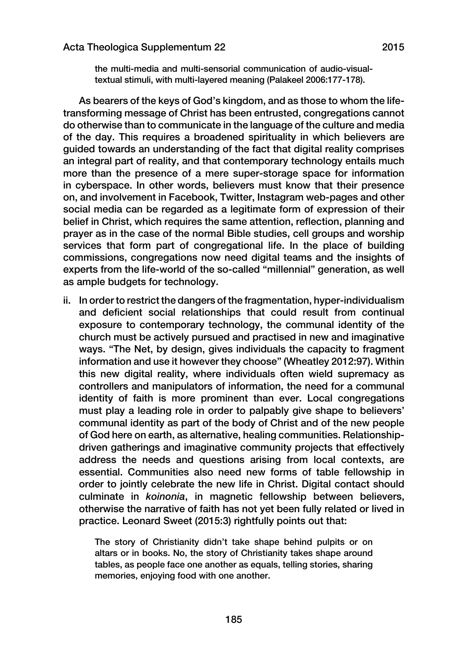#### Acta Theologica Supplementum 22 2015

As bearers of the keys of God's kingdom, and as those to whom the lifetransforming message of Christ has been entrusted, congregations cannot do otherwise than to communicate in the language of the culture and media of the day. This requires a broadened spirituality in which believers are guided towards an understanding of the fact that digital reality comprises an integral part of reality, and that contemporary technology entails much more than the presence of a mere super-storage space for information in cyberspace. In other words, believers must know that their presence on, and involvement in Facebook, Twitter, Instagram web-pages and other social media can be regarded as a legitimate form of expression of their belief in Christ, which requires the same attention, reflection, planning and prayer as in the case of the normal Bible studies, cell groups and worship services that form part of congregational life. In the place of building commissions, congregations now need digital teams and the insights of experts from the life-world of the so-called "millennial" generation, as well as ample budgets for technology.

ii. In order to restrict the dangers of the fragmentation, hyper-individualism and deficient social relationships that could result from continual exposure to contemporary technology, the communal identity of the church must be actively pursued and practised in new and imaginative ways. "The Net, by design, gives individuals the capacity to fragment information and use it however they choose" (Wheatley 2012:97). Within this new digital reality, where individuals often wield supremacy as controllers and manipulators of information, the need for a communal identity of faith is more prominent than ever. Local congregations must play a leading role in order to palpably give shape to believers' communal identity as part of the body of Christ and of the new people of God here on earth, as alternative, healing communities. Relationshipdriven gatherings and imaginative community projects that effectively address the needs and questions arising from local contexts, are essential. Communities also need new forms of table fellowship in order to jointly celebrate the new life in Christ. Digital contact should culminate in *koinonia*, in magnetic fellowship between believers, otherwise the narrative of faith has not yet been fully related or lived in practice. Leonard Sweet (2015:3) rightfully points out that:

The story of Christianity didn't take shape behind pulpits or on altars or in books. No, the story of Christianity takes shape around tables, as people face one another as equals, telling stories, sharing memories, enjoying food with one another.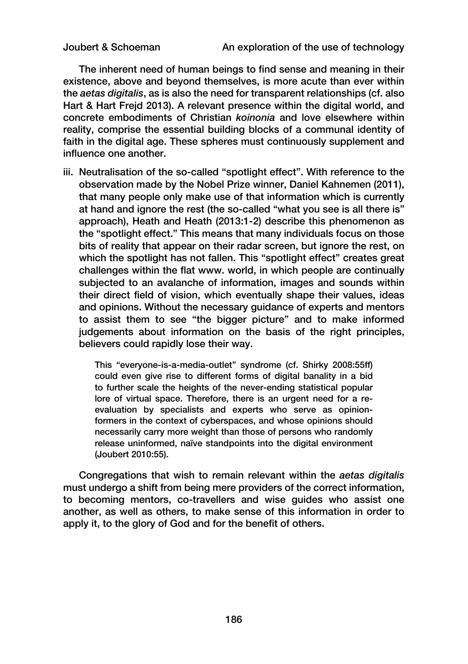The inherent need of human beings to find sense and meaning in their existence, above and beyond themselves, is more acute than ever within the *aetas digitalis*, as is also the need for transparent relationships (cf. also Hart & Hart Frejd 2013). A relevant presence within the digital world, and concrete embodiments of Christian *koinonia* and love elsewhere within reality, comprise the essential building blocks of a communal identity of faith in the digital age. These spheres must continuously supplement and influence one another.

iii. Neutralisation of the so-called "spotlight effect". With reference to the observation made by the Nobel Prize winner, Daniel Kahnemen (2011), that many people only make use of that information which is currently at hand and ignore the rest (the so-called "what you see is all there is" approach), Heath and Heath (2013:1-2) describe this phenomenon as the "spotlight effect." This means that many individuals focus on those bits of reality that appear on their radar screen, but ignore the rest, on which the spotlight has not fallen. This "spotlight effect" creates great challenges within the flat www. world, in which people are continually subjected to an avalanche of information, images and sounds within their direct field of vision, which eventually shape their values, ideas and opinions. Without the necessary guidance of experts and mentors to assist them to see "the bigger picture" and to make informed iudgements about information on the basis of the right principles, believers could rapidly lose their way.

This "everyone-is-a-media-outlet" syndrome (cf. Shirky 2008:55ff) could even give rise to different forms of digital banality in a bid to further scale the heights of the never-ending statistical popular lore of virtual space. Therefore, there is an urgent need for a reevaluation by specialists and experts who serve as opinionformers in the context of cyberspaces, and whose opinions should necessarily carry more weight than those of persons who randomly release uninformed, naïve standpoints into the digital environment (Joubert 2010:55).

Congregations that wish to remain relevant within the *aetas digitalis* must undergo a shift from being mere providers of the correct information, to becoming mentors, co-travellers and wise guides who assist one another, as well as others, to make sense of this information in order to apply it, to the glory of God and for the benefit of others.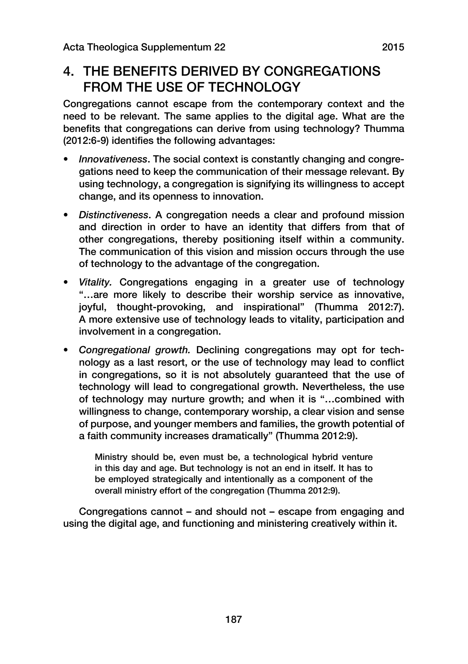## 4. THE BENEFITS DERIVED BY CONGREGATIONS FROM THE USE OF TECHNOLOGY

Congregations cannot escape from the contemporary context and the need to be relevant. The same applies to the digital age. What are the benefits that congregations can derive from using technology? Thumma (2012:6-9) identifies the following advantages:

- *Innovativeness*. The social context is constantly changing and congregations need to keep the communication of their message relevant. By using technology, a congregation is signifying its willingness to accept change, and its openness to innovation.
- *Distinctiveness*. A congregation needs a clear and profound mission and direction in order to have an identity that differs from that of other congregations, thereby positioning itself within a community. The communication of this vision and mission occurs through the use of technology to the advantage of the congregation.
- *Vitality.* Congregations engaging in a greater use of technology "…are more likely to describe their worship service as innovative, joyful, thought-provoking, and inspirational" (Thumma 2012:7). A more extensive use of technology leads to vitality, participation and involvement in a congregation.
- *Congregational growth.* Declining congregations may opt for technology as a last resort, or the use of technology may lead to conflict in congregations, so it is not absolutely guaranteed that the use of technology will lead to congregational growth. Nevertheless, the use of technology may nurture growth; and when it is "…combined with willingness to change, contemporary worship, a clear vision and sense of purpose, and younger members and families, the growth potential of a faith community increases dramatically" (Thumma 2012:9).

Ministry should be, even must be, a technological hybrid venture in this day and age. But technology is not an end in itself. It has to be employed strategically and intentionally as a component of the overall ministry effort of the congregation (Thumma 2012:9).

Congregations cannot – and should not – escape from engaging and using the digital age, and functioning and ministering creatively within it.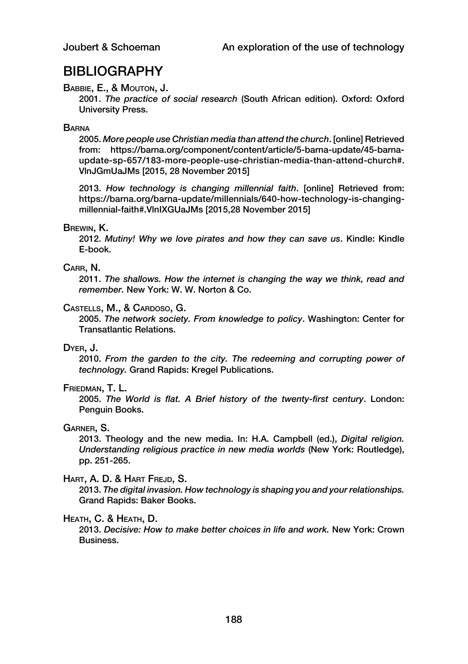### BIBLIOGRAPHY

### BABBIE, E., & MOUTON, J.

2001. *The practice of social research* (South African edition). Oxford: Oxford University Press.

#### **BARNA**

2005. *More people use Christian media than attend the church*. [online] Retrieved from: https://barna.org/component/content/article/5-barna-update/45-barnaupdate-sp-657/183-more-people-use-christian-media-than-attend-church#. VlnJGmUaJMs [2015, 28 November 2015]

2013. *How technology is changing millennial faith*. [online] Retrieved from: https://barna.org/barna-update/millennials/640-how-technology-is-changingmillennial-faith#.VlnIXGUaJMs [2015,28 November 2015]

#### Brewin, K.

2012. *Mutiny! Why we love pirates and how they can save us*. Kindle: Kindle E-book.

#### Carr, N.

2011. *The shallows. How the internet is changing the way we think, read and remember.* New York: W. W. Norton & Co.

#### Castells, M., & Cardoso, G.

2005. *The network society. From knowledge to policy*. Washington: Center for Transatlantic Relations.

#### Dyer, J.

2010. *From the garden to the city. The redeeming and corrupting power of technology.* Grand Rapids: Kregel Publications.

### Friedman, T. L.

2005. *The World is flat. A Brief history of the twenty-first century*. London: Penguin Books.

#### Garner, S.

2013. Theology and the new media. In: H.A. Campbell (ed.), *Digital religion. Understanding religious practice in new media worlds* (New York: Routledge), pp. 251-265.

#### HART, A. D. & HART FREJD, S.

2013. *The digital invasion. How technology is shaping you and your relationships.* Grand Rapids: Baker Books.

#### Heath, C. & Heath, D.

2013. *Decisive: How to make better choices in life and work.* New York: Crown Business.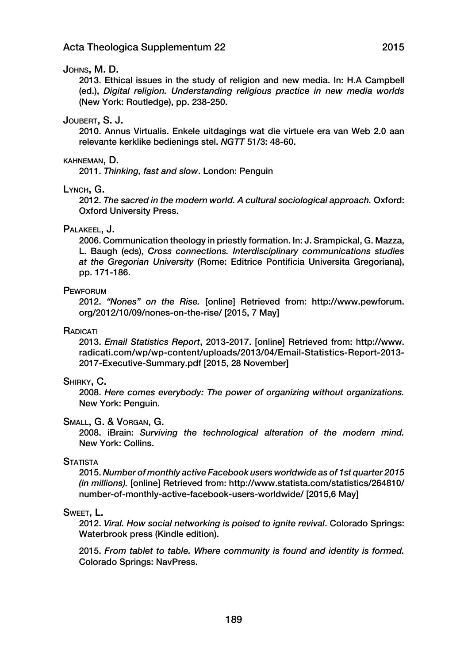#### Johns, M. D.

2013. Ethical issues in the study of religion and new media. In: H.A Campbell (ed.), *Digital religion. Understanding religious practice in new media worlds* (New York: Routledge), pp. 238-250.

#### Joubert, S. J.

2010. Annus Virtualis. Enkele uitdagings wat die virtuele era van Web 2.0 aan relevante kerklike bedienings stel. *NGTT* 51/3: 48-60.

#### kahneman, D.

2011. *Thinking, fast and slow*. London: Penguin

#### Lynch, G.

2012. *The sacred in the modern world. A cultural sociological approach.* Oxford: Oxford University Press.

#### PALAKEEL, J.

2006. Communication theology in priestly formation. In: J. Srampickal, G. Mazza, L. Baugh (eds), *Cross connections. Interdisciplinary communications studies at the Gregorian University* (Rome: Editrice Pontificia Universita Gregoriana), pp. 171-186.

#### **PEWFORUM**

2012. *"Nones" on the Rise.* [online] Retrieved from: http://www.pewforum. org/2012/10/09/nones-on-the-rise/ [2015, 7 May]

#### RADICATI

2013. *Email Statistics Report*, 2013-2017. [online] Retrieved from: http://www. radicati.com/wp/wp-content/uploads/2013/04/Email-Statistics-Report-2013- 2017-Executive-Summary.pdf [2015, 28 November]

#### Shirky, C.

2008. *Here comes everybody: The power of organizing without organizations.* New York: Penguin.

#### Small, G. & Vorgan, G.

2008. iBrain: *Surviving the technological alteration of the modern mind.*  New York: Collins.

#### **STATISTA**

2015. *Number of monthly active Facebook users worldwide as of 1st quarter 2015 (in millions).* [online] Retrieved from: http://www.statista.com/statistics/264810/ number-of-monthly-active-facebook-users-worldwide/ [2015,6 May]

#### Sweet, L.

2012. *Viral. How social networking is poised to ignite revival*. Colorado Springs: Waterbrook press (Kindle edition).

2015. *From tablet to table. Where community is found and identity is formed.* Colorado Springs: NavPress.